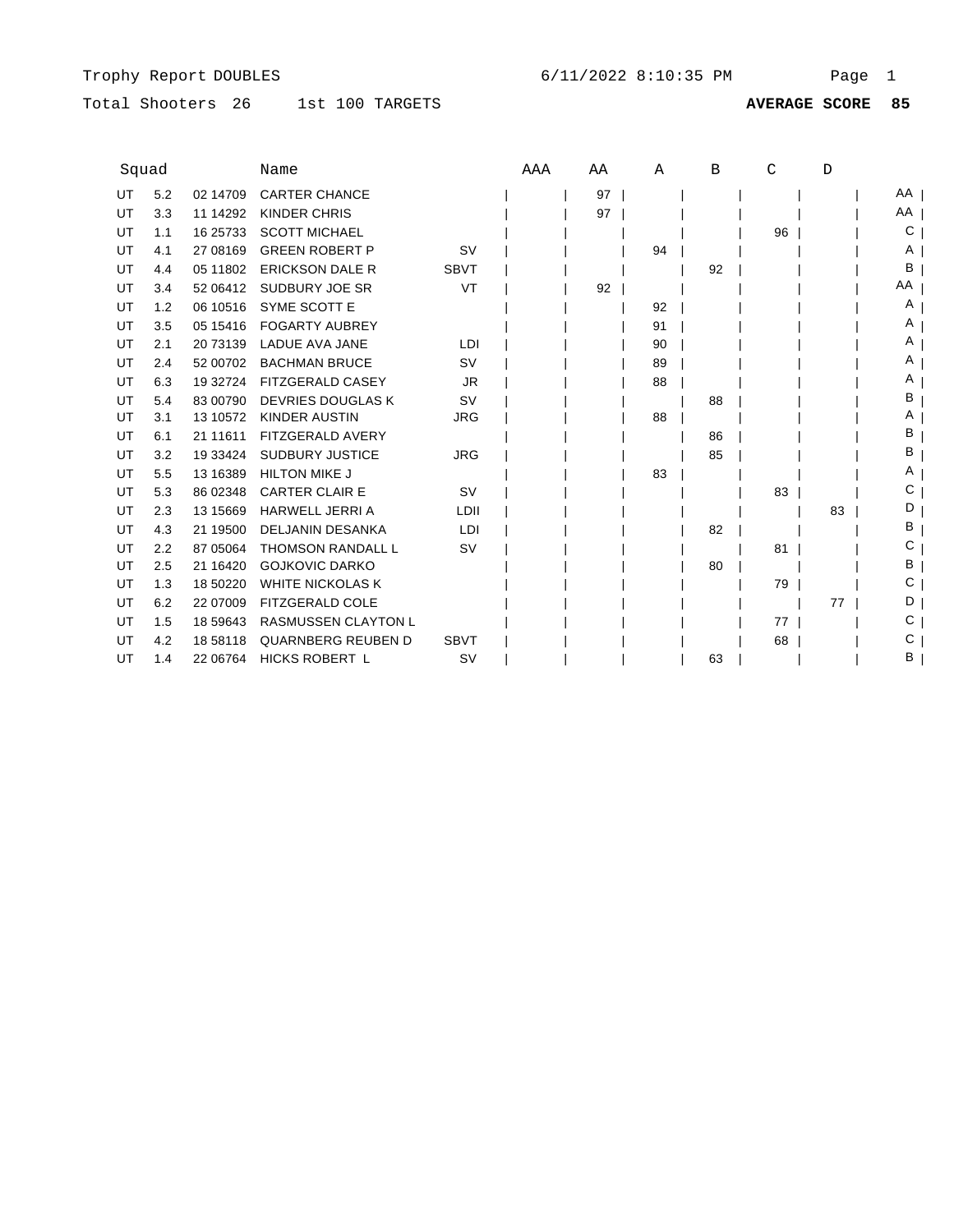## Total Shooters 26 1st 100 TARGETS

| Squad |     |            | Name                       |             | AAA | ΑA | Α  | B  | C  | D  |      |
|-------|-----|------------|----------------------------|-------------|-----|----|----|----|----|----|------|
| UT    | 5.2 | 02 14709   | <b>CARTER CHANCE</b>       |             |     | 97 |    |    |    |    | AA I |
| UT    | 3.3 | 11 14292   | <b>KINDER CHRIS</b>        |             |     | 97 |    |    |    |    | AA   |
| UT    | 1.1 | 16 25733   | <b>SCOTT MICHAEL</b>       |             |     |    |    |    | 96 |    | С    |
| UT    | 4.1 | 27 08 169  | <b>GREEN ROBERT P</b>      | <b>SV</b>   |     |    | 94 |    |    |    | Α    |
| UT    | 4.4 | 05 11802   | <b>ERICKSON DALE R</b>     | <b>SBVT</b> |     |    |    | 92 |    |    | B    |
| UT    | 3.4 | 52 06412   | SUDBURY JOE SR             | VT          |     | 92 |    |    |    |    | AA   |
| UT    | 1.2 | 06 10516   | SYME SCOTT E               |             |     |    | 92 |    |    |    | Α    |
| UT    | 3.5 | 05 15416   | <b>FOGARTY AUBREY</b>      |             |     |    | 91 |    |    |    | Α    |
| UT    | 2.1 | 20 73139   | <b>LADUE AVA JANE</b>      | LDI         |     |    | 90 |    |    |    | A    |
| UT    | 2.4 | 52 00702   | <b>BACHMAN BRUCE</b>       | <b>SV</b>   |     |    | 89 |    |    |    | Α    |
| UT    | 6.3 | 19 32724   | <b>FITZGERALD CASEY</b>    | JR.         |     |    | 88 |    |    |    | Α    |
| UT    | 5.4 | 83 00790   | <b>DEVRIES DOUGLAS K</b>   | <b>SV</b>   |     |    |    | 88 |    |    | в    |
| UT    | 3.1 | 13 10 572  | KINDER AUSTIN              | <b>JRG</b>  |     |    | 88 |    |    |    |      |
| UT    | 6.1 | 21 11 611  | <b>FITZGERALD AVERY</b>    |             |     |    |    | 86 |    |    | В    |
| UT    | 3.2 | 19 33424   | <b>SUDBURY JUSTICE</b>     | <b>JRG</b>  |     |    |    | 85 |    |    | в    |
| UT    | 5.5 | 13 16 38 9 | <b>HILTON MIKE J</b>       |             |     |    | 83 |    |    |    |      |
| UT    | 5.3 | 86 02348   | <b>CARTER CLAIR E</b>      | <b>SV</b>   |     |    |    |    | 83 |    | С    |
| UT    | 2.3 | 13 15 669  | <b>HARWELL JERRI A</b>     | LDII        |     |    |    |    |    | 83 | D    |
| UT    | 4.3 | 21 19500   | <b>DELJANIN DESANKA</b>    | LDI         |     |    |    | 82 |    |    | в    |
| UT    | 2.2 | 87 05064   | <b>THOMSON RANDALL L</b>   | <b>SV</b>   |     |    |    |    | 81 |    | С    |
| UT    | 2.5 | 21 16420   | <b>GOJKOVIC DARKO</b>      |             |     |    |    | 80 |    |    | в    |
| UT    | 1.3 | 18 50220   | <b>WHITE NICKOLAS K</b>    |             |     |    |    |    | 79 |    | С    |
| UT    | 6.2 | 22 07009   | <b>FITZGERALD COLE</b>     |             |     |    |    |    |    | 77 | D    |
| UT    | 1.5 | 18 59 643  | <b>RASMUSSEN CLAYTON L</b> |             |     |    |    |    | 77 |    | С    |
| UT    | 4.2 | 18 58 118  | <b>QUARNBERG REUBEN D</b>  | <b>SBVT</b> |     |    |    |    | 68 |    | С    |
| UT    | 1.4 | 22 06764   | <b>HICKS ROBERT L</b>      | <b>SV</b>   |     |    |    | 63 |    |    | B    |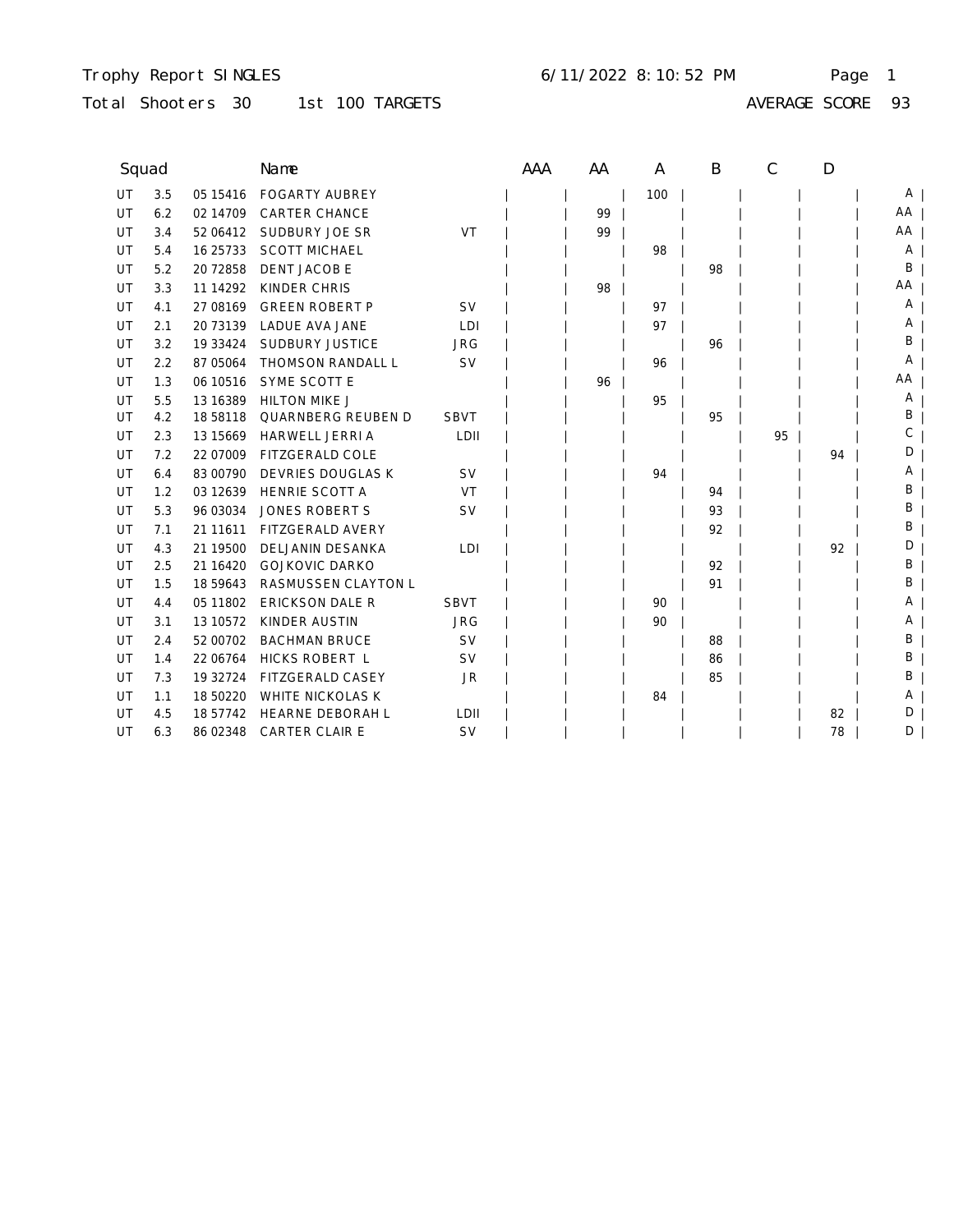## Trophy Report SINGLES Page 1 6/11/2022 8:10:52 PM

Total Shooters 30 1st 100 TARGETS

AVERAGE SCORE 93

| Squad |     |            | Name                       |             | AAA | AA | A   | B  | С  | D  |    |
|-------|-----|------------|----------------------------|-------------|-----|----|-----|----|----|----|----|
| UT    | 3.5 | 05 15416   | <b>FOGARTY AUBREY</b>      |             |     |    | 100 |    |    |    | A  |
| UT    | 6.2 | 02 14709   | <b>CARTER CHANCE</b>       |             |     | 99 |     |    |    |    | AA |
| UT    | 3.4 | 52 06412   | SUDBURY JOE SR             | VT          |     | 99 |     |    |    |    | AA |
| UT    | 5.4 | 16 25 7 33 | <b>SCOTT MICHAEL</b>       |             |     |    | 98  |    |    |    | A  |
| UT    | 5.2 | 20 72858   | <b>DENT JACOB E</b>        |             |     |    |     | 98 |    |    | B  |
| UT    | 3.3 | 11 14 29 2 | KINDER CHRIS               |             |     | 98 |     |    |    |    | AA |
| UT    | 4.1 | 27 08 169  | <b>GREEN ROBERT P</b>      | <b>SV</b>   |     |    | 97  |    |    |    | Α  |
| UT    | 2.1 | 20 73139   | <b>LADUE AVA JANE</b>      | LDI         |     |    | 97  |    |    |    | Α  |
| UT    | 3.2 | 19 33424   | SUDBURY JUSTICE            | <b>JRG</b>  |     |    |     | 96 |    |    | В  |
| UT    | 2.2 | 87 05064   | <b>THOMSON RANDALL L</b>   | <b>SV</b>   |     |    | 96  |    |    |    | Α  |
| UT    | 1.3 | 06 10516   | SYME SCOTT E               |             |     | 96 |     |    |    |    | AA |
| UT    | 5.5 | 13 16 389  | <b>HILTON MIKE J</b>       |             |     |    | 95  |    |    |    | Α  |
| UT    | 4.2 | 18 58118   | <b>QUARNBERG REUBEN D</b>  | <b>SBVT</b> |     |    |     | 95 |    |    | В  |
| UT    | 2.3 | 13 15 669  | HARWELL JERRI A            | LDII        |     |    |     |    | 95 |    | С  |
| UT    | 7.2 | 22 07009   | <b>FITZGERALD COLE</b>     |             |     |    |     |    |    | 94 | D  |
| UT    | 6.4 | 83 00790   | DEVRIES DOUGLAS K          | <b>SV</b>   |     |    | 94  |    |    |    | A  |
| UT    | 1.2 | 03 12639   | HENRIE SCOTT A             | VT          |     |    |     | 94 |    |    | В  |
| UT    | 5.3 | 96 03034   | <b>JONES ROBERT S</b>      | <b>SV</b>   |     |    |     | 93 |    |    | Β  |
| UT    | 7.1 | 21 11 611  | FITZGERALD AVERY           |             |     |    |     | 92 |    |    | В  |
| UT    | 4.3 | 21 19500   | <b>DELJANIN DESANKA</b>    | LDI         |     |    |     |    |    | 92 | D  |
| UT    | 2.5 | 21 16420   | <b>GOJKOVIC DARKO</b>      |             |     |    |     | 92 |    |    | В  |
| UT    | 1.5 | 18 59 643  | <b>RASMUSSEN CLAYTON L</b> |             |     |    |     | 91 |    |    | В  |
| UT    | 4.4 | 05 11802   | <b>ERICKSON DALE R</b>     | <b>SBVT</b> |     |    | 90  |    |    |    | A  |
| UT    | 3.1 | 13 10 572  | KINDER AUSTIN              | <b>JRG</b>  |     |    | 90  |    |    |    | A  |
| UT    | 2.4 | 52 00702   | <b>BACHMAN BRUCE</b>       | <b>SV</b>   |     |    |     | 88 |    |    | Β  |
| UT    | 1.4 | 22 06764   | <b>HICKS ROBERT L</b>      | <b>SV</b>   |     |    |     | 86 |    |    | Β  |
| UT    | 7.3 | 19 32724   | FITZGERALD CASEY           | JR          |     |    |     | 85 |    |    | В  |
| UT    | 1.1 | 18 50220   | <b>WHITE NICKOLAS K</b>    |             |     |    | 84  |    |    |    | A  |
| UT    | 4.5 | 18 57742   | <b>HEARNE DEBORAH L</b>    | LDII        |     |    |     |    |    | 82 | D. |
| UT    | 6.3 | 86 02348   | <b>CARTER CLAIR E</b>      | <b>SV</b>   |     |    |     |    |    | 78 | D  |